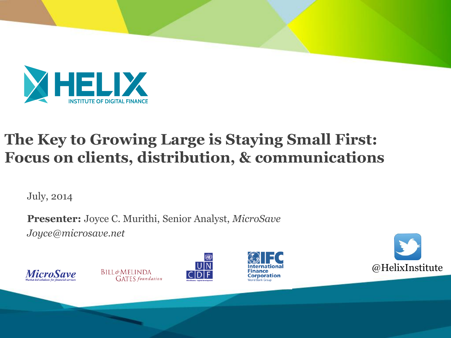

### **The Key to Growing Large is Staying Small First: Focus on clients, distribution, & communications**

July, 2014

**Presenter:** Joyce C. Murithi, Senior Analyst, *MicroSave Joyce@microsave.net*



**BILL&MELINDA GATES** foundation





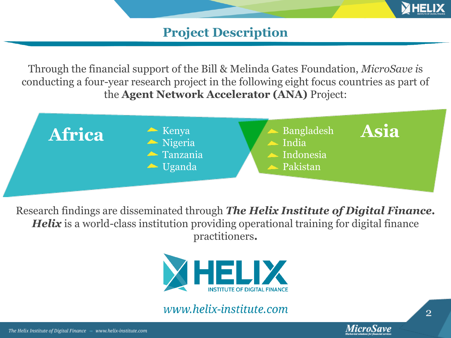### **Project Description**

Through the financial support of the Bill & Melinda Gates Foundation, *MicroSave i*s conducting a four-year research project in the following eight focus countries as part of the **Agent Network Accelerator (ANA)** Project:



Research findings are disseminated through *The Helix Institute of Digital Finance. Helix* is a world-class institution providing operational training for digital finance practitioners**.**



www.helix-institute.com

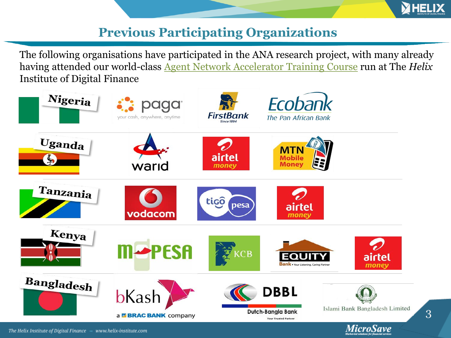

3

### **Previous Participating Organizations**

The following organisations have participated in the ANA research project, with many already having attended our world-class **Agent Network Accelerator Training Course** run at The *Helix* Institute of Digital Finance

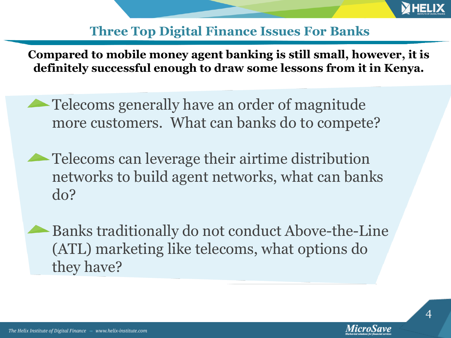

### **Three Top Digital Finance Issues For Banks**

**Compared to mobile money agent banking is still small, however, it is definitely successful enough to draw some lessons from it in Kenya.**

- Telecoms generally have an order of magnitude more customers. What can banks do to compete?
- Telecoms can leverage their airtime distribution networks to build agent networks, what can banks do?
- Banks traditionally do not conduct Above-the-Line (ATL) marketing like telecoms, what options do they have?

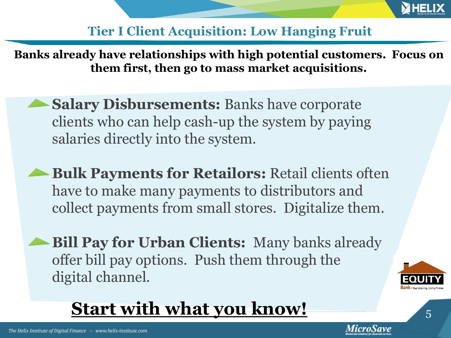

### **Tier I Client Acquisition: Low Hanging Fruit**

**Banks already have relationships with high potential customers. Focus on them first, then go to mass market acquisitions.**

- **Salary Disbursements:** Banks have corporate clients who can help cash-up the system by paying salaries directly into the system.
- **Bulk Payments for Retailors:** Retail clients often have to make many payments to distributors and collect payments from small stores. Digitalize them.
- **Bill Pay for Urban Clients:** Many banks already offer bill pay options. Push them through the digital channel.



5

## **Start with what you know!**

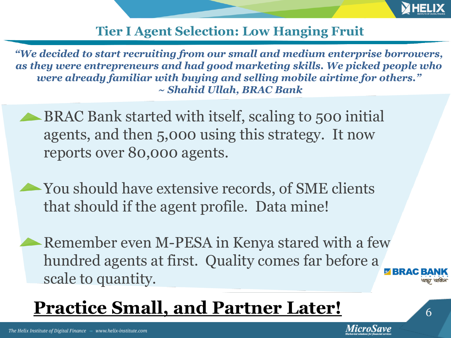

### **Tier I Agent Selection: Low Hanging Fruit**

*"We decided to start recruiting from our small and medium enterprise borrowers, as they were entrepreneurs and had good marketing skills. We picked people who were already familiar with buying and selling mobile airtime for others." ~ Shahid Ullah, BRAC Bank*

- BRAC Bank started with itself, scaling to 500 initial agents, and then 5,000 using this strategy. It now reports over 80,000 agents.
- You should have extensive records, of SME clients that should if the agent profile. Data mine!
	- Remember even M-PESA in Kenya stared with a few hundred agents at first. Quality comes far before a **ZERACE** scale to quantity.

## **Practice Small, and Partner Later!**



6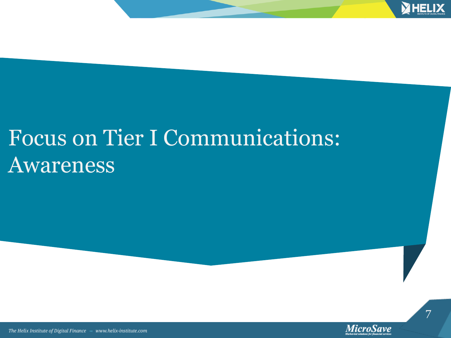

# Focus on Tier I Communications: Awareness



7

The Helix Institute of Digital Finance  $$ www.helix-institute.com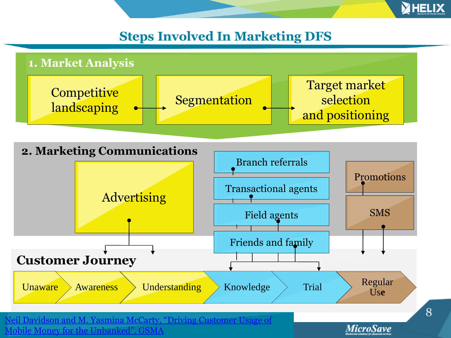

### **Steps Involved In Marketing DFS**



[Neil Davidson and M. Yasmina McCarty, "Driving Customer Usage of](http://mmublog.org/wp-content/files_mf/drivingcustomerusagefinallowres.pdf)  [Mobile Money for the Unbanked",](http://mmublog.org/wp-content/files_mf/drivingcustomerusagefinallowres.pdf) [GSMA](http://mmublog.org/wp-content/files_mf/drivingcustomerusagefinallowres.pdf)

8

**MicroSave**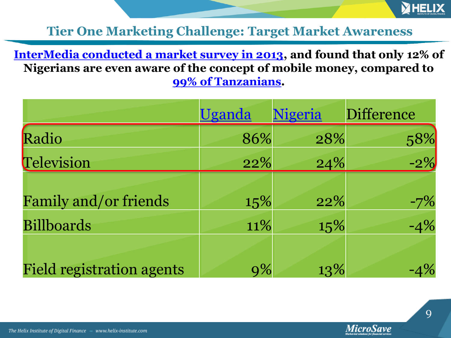

**Tier One Marketing Challenge: Target Market Awareness**

**[InterMedia](http://finclusion.org/wp-content/uploads/2014/04/FII-Nigeria-Wave-One-Survey-QuickSights-Report.pdf) [conducted a market survey in 2013,](http://finclusion.org/wp-content/uploads/2014/04/FII-Nigeria-Wave-One-Survey-QuickSights-Report.pdf) and found that only 12% of Nigerians are even aware of the concept of mobile money, compared to [99% of Tanzanians](http://www.intermedia.org/wp-content/uploads/TZ-MM-Wave-4-Report-FINAL.pdf).**

|                                  | <b>Uganda</b> | Nigeria | Difference |
|----------------------------------|---------------|---------|------------|
| Radio                            | 86%           | 28%     | 58%        |
| Television                       | 22%           | 24%     | $-2\%$     |
|                                  |               |         |            |
| Family and/or friends            | 15%           | 22%     | $-7%$      |
| <b>Billboards</b>                | 11%           | 15%     | $-4%$      |
|                                  |               |         |            |
| <b>Field registration agents</b> | 9%            | 13%     | $\%$       |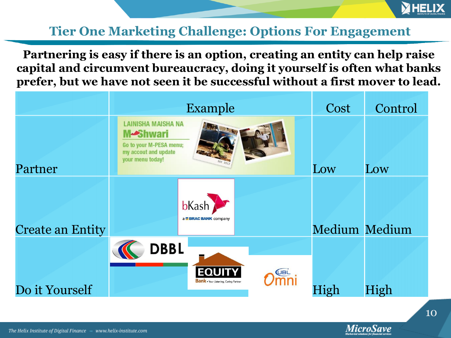

### **Tier One Marketing Challenge: Options For Engagement**

**Partnering is easy if there is an option, creating an entity can help raise capital and circumvent bureaucracy, doing it yourself is often what banks prefer, but we have not seen it be successful without a first mover to lead.**

|                         | Example                                                                                                             | Cost          | Control |
|-------------------------|---------------------------------------------------------------------------------------------------------------------|---------------|---------|
| Partner                 | <b>LAINISHA MAISHA NA</b><br><b>M-Shwari</b><br>Go to your M-PESA menu;<br>my accout and update<br>your menu today! | Low           | Low     |
| <b>Create an Entity</b> | bKash<br>a <b>BRAC BANK</b> company                                                                                 | Medium Medium |         |
| Do it Yourself          | <b>DBBL</b><br><b>EQUITY</b><br><b>QBL</b><br><b>Bank</b> • Your Listening, Caring Partner                          | High          | High    |

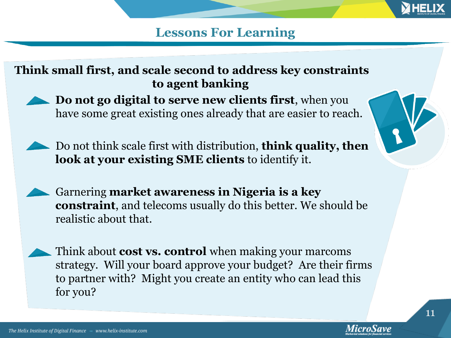### **Lessons For Learning**

### **Think small first, and scale second to address key constraints to agent banking**

- **Do not go digital to serve new clients first**, when you have some great existing ones already that are easier to reach.
- Do not think scale first with distribution, **think quality, then look at your existing SME clients** to identify it.
- Garnering **market awareness in Nigeria is a key constraint**, and telecoms usually do this better. We should be realistic about that.
	- Think about **cost vs. control** when making your marcoms strategy. Will your board approve your budget? Are their firms to partner with? Might you create an entity who can lead this for you?

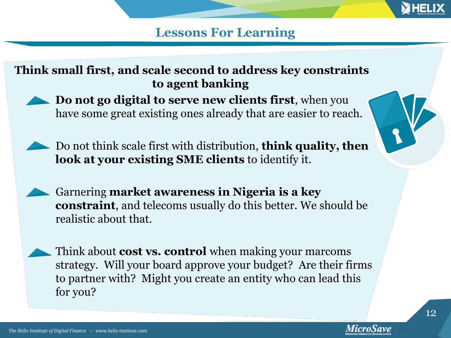### **Lessons For Learning**

### **Think small first, and scale second to address key constraints to agent banking**

- **Do not go digital to serve new clients first**, when you have some great existing ones already that are easier to reach.
- Do not think scale first with distribution, **think quality, then look at your existing SME clients** to identify it.
- Garnering **market awareness in Nigeria is a key constraint**, and telecoms usually do this better. We should be realistic about that.
	- Think about **cost vs. control** when making your marcoms strategy. Will your board approve your budget? Are their firms to partner with? Might you create an entity who can lead this for you?